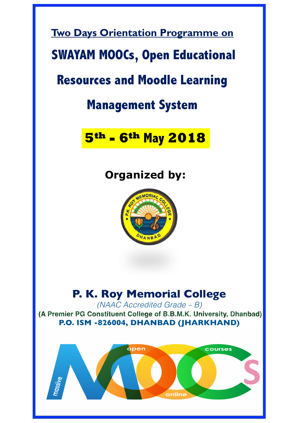

*(NAAC Accredited Grade – B)*

(A Premier PG Constituent College of B.B.M.K. University, Dhanbad) **P.O. ISM -826004, DHANBAD (JHARKHAND)**